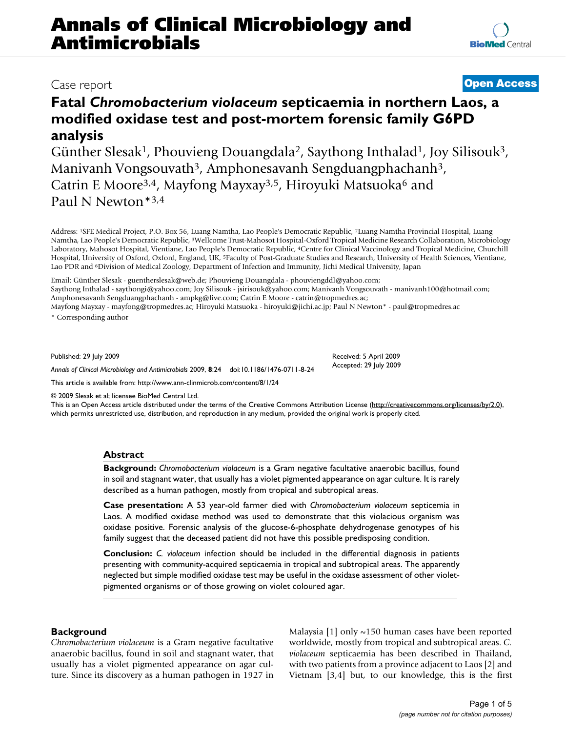# **Annals of Clinical Microbiology and Antimicrobials**

## **Fatal** *Chromobacterium violaceum* **septicaemia in northern Laos, a modified oxidase test and post-mortem forensic family G6PD analysis**

Günther Slesak<sup>1</sup>, Phouvieng Douangdala<sup>2</sup>, Saythong Inthalad<sup>1</sup>, Joy Silisouk<sup>3</sup>, Manivanh Vongsouvath<sup>3</sup>, Amphonesavanh Sengduangphachanh<sup>3</sup>, Catrin E Moore<sup>3,4</sup>, Mayfong Mayxay<sup>3,5</sup>, Hiroyuki Matsuoka<sup>6</sup> and Paul N Newton\*3,4

Address: 1SFE Medical Project, P.O. Box 56, Luang Namtha, Lao People's Democratic Republic, 2Luang Namtha Provincial Hospital, Luang Namtha, Lao People's Democratic Republic, 3Wellcome Trust-Mahosot Hospital-Oxford Tropical Medicine Research Collaboration, Microbiology Laboratory, Mahosot Hospital, Vientiane, Lao People's Democratic Republic, 4Centre for Clinical Vaccinology and Tropical Medicine, Churchill Hospital, University of Oxford, Oxford, England, UK, 5Faculty of Post-Graduate Studies and Research, University of Health Sciences, Vientiane, Lao PDR and 6Division of Medical Zoology, Department of Infection and Immunity, Jichi Medical University, Japan

Email: Günther Slesak - guentherslesak@web.de; Phouvieng Douangdala - phouviengddl@yahoo.com; Saythong Inthalad - saythongi@yahoo.com; Joy Silisouk - jsirisouk@yahoo.com; Manivanh Vongsouvath - manivanh100@hotmail.com; Amphonesavanh Sengduangphachanh - ampkg@live.com; Catrin E Moore - catrin@tropmedres.ac;

Mayfong Mayxay - mayfong@tropmedres.ac; Hiroyuki Matsuoka - hiroyuki@jichi.ac.jp; Paul N Newton\* - paul@tropmedres.ac

\* Corresponding author

Published: 29 July 2009

*Annals of Clinical Microbiology and Antimicrobials* 2009, **8**:24 doi:10.1186/1476-0711-8-24

[This article is available from: http://www.ann-clinmicrob.com/content/8/1/24](http://www.ann-clinmicrob.com/content/8/1/24)

© 2009 Slesak et al; licensee BioMed Central Ltd.

This is an Open Access article distributed under the terms of the Creative Commons Attribution License [\(http://creativecommons.org/licenses/by/2.0\)](http://creativecommons.org/licenses/by/2.0), which permits unrestricted use, distribution, and reproduction in any medium, provided the original work is properly cited.

#### **Abstract**

**Background:** *Chromobacterium violaceum* is a Gram negative facultative anaerobic bacillus, found in soil and stagnant water, that usually has a violet pigmented appearance on agar culture. It is rarely described as a human pathogen, mostly from tropical and subtropical areas.

**Case presentation:** A 53 year-old farmer died with *Chromobacterium violaceum* septicemia in Laos. A modified oxidase method was used to demonstrate that this violacious organism was oxidase positive. Forensic analysis of the glucose-6-phosphate dehydrogenase genotypes of his family suggest that the deceased patient did not have this possible predisposing condition.

**Conclusion:** *C. violaceum* infection should be included in the differential diagnosis in patients presenting with community-acquired septicaemia in tropical and subtropical areas. The apparently neglected but simple modified oxidase test may be useful in the oxidase assessment of other violetpigmented organisms or of those growing on violet coloured agar.

#### **Background**

*Chromobacterium violaceum* is a Gram negative facultative anaerobic bacillus, found in soil and stagnant water, that usually has a violet pigmented appearance on agar culture. Since its discovery as a human pathogen in 1927 in Malaysia [1] only ~150 human cases have been reported worldwide, mostly from tropical and subtropical areas. *C. violaceum* septicaemia has been described in Thailand, with two patients from a province adjacent to Laos [\[2\]](#page-3-0) and Vietnam [3,[4](#page-3-1)] but, to our knowledge, this is the first

### Case report **[Open Access](http://www.biomedcentral.com/info/about/charter/)**

Received: 5 April 2009 Accepted: 29 July 2009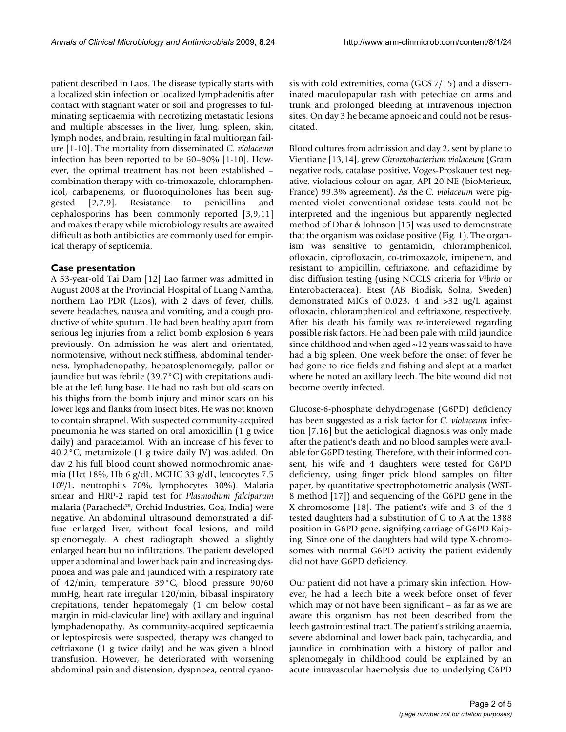patient described in Laos. The disease typically starts with a localized skin infection or localized lymphadenitis after contact with stagnant water or soil and progresses to fulminating septicaemia with necrotizing metastatic lesions and multiple abscesses in the liver, lung, spleen, skin, lymph nodes, and brain, resulting in fatal multiorgan failure [1-10]. The mortality from disseminated *C. violaceum* infection has been reported to be 60–80% [1-10]. However, the optimal treatment has not been established – combination therapy with co-trimoxazole, chloramphenicol, carbapenems, or fluoroquinolones has been suggested [\[2,](#page-3-0)7,9]. Resistance to penicillins and cephalosporins has been commonly reported [3,9,11] and makes therapy while microbiology results are awaited difficult as both antibiotics are commonly used for empirical therapy of septicemia.

#### **Case presentation**

A 53-year-old Tai Dam [12] Lao farmer was admitted in August 2008 at the Provincial Hospital of Luang Namtha, northern Lao PDR (Laos), with 2 days of fever, chills, severe headaches, nausea and vomiting, and a cough productive of white sputum. He had been healthy apart from serious leg injuries from a relict bomb explosion 6 years previously. On admission he was alert and orientated, normotensive, without neck stiffness, abdominal tenderness, lymphadenopathy, hepatosplenomegaly, pallor or jaundice but was febrile (39.7°C) with crepitations audible at the left lung base. He had no rash but old scars on his thighs from the bomb injury and minor scars on his lower legs and flanks from insect bites. He was not known to contain shrapnel. With suspected community-acquired pneumonia he was started on oral amoxicillin (1 g twice daily) and paracetamol. With an increase of his fever to 40.2°C, metamizole (1 g twice daily IV) was added. On day 2 his full blood count showed normochromic anaemia (Hct 18%, Hb 6 g/dL, MCHC 33 g/dL, leucocytes 7.5 109/L, neutrophils 70%, lymphocytes 30%). Malaria smear and HRP-2 rapid test for *Plasmodium falciparum* malaria (Paracheck™, Orchid Industries, Goa, India) were negative. An abdominal ultrasound demonstrated a diffuse enlarged liver, without focal lesions, and mild splenomegaly. A chest radiograph showed a slightly enlarged heart but no infiltrations. The patient developed upper abdominal and lower back pain and increasing dyspnoea and was pale and jaundiced with a respiratory rate of 42/min, temperature 39°C, blood pressure 90/60 mmHg, heart rate irregular 120/min, bibasal inspiratory crepitations, tender hepatomegaly (1 cm below costal margin in mid-clavicular line) with axillary and inguinal lymphadenopathy. As community-acquired septicaemia or leptospirosis were suspected, therapy was changed to ceftriaxone (1 g twice daily) and he was given a blood transfusion. However, he deteriorated with worsening abdominal pain and distension, dyspnoea, central cyanosis with cold extremities, coma (GCS 7/15) and a disseminated maculopapular rash with petechiae on arms and trunk and prolonged bleeding at intravenous injection sites. On day 3 he became apnoeic and could not be resuscitated.

Blood cultures from admission and day 2, sent by plane to Vientiane [13,14], grew *Chromobacterium violaceum* (Gram negative rods, catalase positive, Voges-Proskauer test negative, violacious colour on agar, API 20 NE (bioMerieux, France) 99.3% agreement). As the *C. violaceum* were pigmented violet conventional oxidase tests could not be interpreted and the ingenious but apparently neglected method of Dhar & Johnson [15] was used to demonstrate that the organism was oxidase positive (Fig. 1). The organism was sensitive to gentamicin, chloramphenicol, ofloxacin, ciprofloxacin, co-trimoxazole, imipenem, and resistant to ampicillin, ceftriaxone, and ceftazidime by disc diffusion testing (using NCCLS criteria for *Vibrio* or Enterobacteracea). Etest (AB Biodisk, Solna, Sweden) demonstrated MICs of 0.023, 4 and >32 ug/L against ofloxacin, chloramphenicol and ceftriaxone, respectively. After his death his family was re-interviewed regarding possible risk factors. He had been pale with mild jaundice since childhood and when aged ~12 years was said to have had a big spleen. One week before the onset of fever he had gone to rice fields and fishing and slept at a market where he noted an axillary leech. The bite wound did not become overtly infected.

Glucose-6-phosphate dehydrogenase (G6PD) deficiency has been suggested as a risk factor for *C. violaceum* infection [7,16] but the aetiological diagnosis was only made after the patient's death and no blood samples were available for G6PD testing. Therefore, with their informed consent, his wife and 4 daughters were tested for G6PD deficiency, using finger prick blood samples on filter paper, by quantitative spectrophotometric analysis (WST-8 method [17]) and sequencing of the G6PD gene in the X-chromosome [18]. The patient's wife and 3 of the 4 tested daughters had a substitution of G to A at the 1388 position in G6PD gene, signifying carriage of G6PD Kaiping. Since one of the daughters had wild type X-chromosomes with normal G6PD activity the patient evidently did not have G6PD deficiency.

Our patient did not have a primary skin infection. However, he had a leech bite a week before onset of fever which may or not have been significant – as far as we are aware this organism has not been described from the leech gastrointestinal tract. The patient's striking anaemia, severe abdominal and lower back pain, tachycardia, and jaundice in combination with a history of pallor and splenomegaly in childhood could be explained by an acute intravascular haemolysis due to underlying G6PD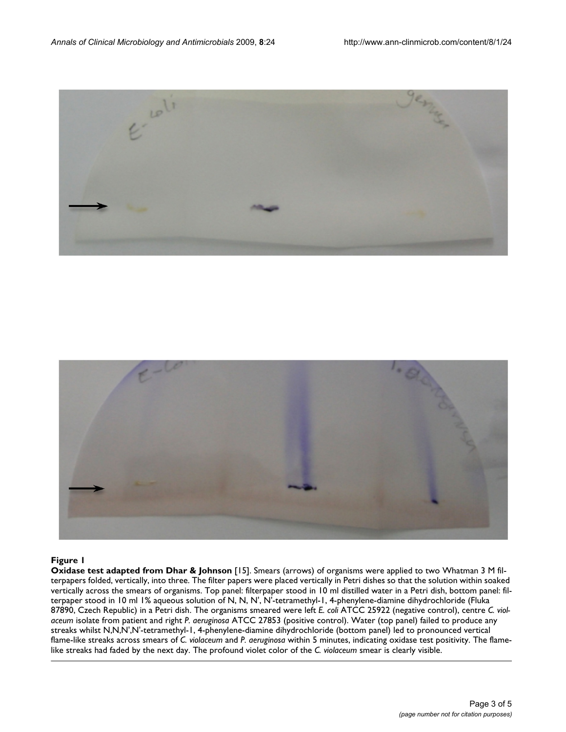



#### **Figure 1**

**Oxidase test adapted from Dhar & Johnson** [15]. Smears (arrows) of organisms were applied to two Whatman 3 M filterpapers folded, vertically, into three. The filter papers were placed vertically in Petri dishes so that the solution within soaked vertically across the smears of organisms. Top panel: filterpaper stood in 10 ml distilled water in a Petri dish, bottom panel: filterpaper stood in 10 ml 1% aqueous solution of N, N, N', N'-tetramethyl-1, 4-phenylene-diamine dihydrochloride (Fluka 87890, Czech Republic) in a Petri dish. The organisms smeared were left *E. coli* ATCC 25922 (negative control), centre *C. violaceum* isolate from patient and right *P. aeruginosa* ATCC 27853 (positive control). Water (top panel) failed to produce any streaks whilst N,N,N',N'-tetramethyl-1, 4-phenylene-diamine dihydrochloride (bottom panel) led to pronounced vertical flame-like streaks across smears of *C. violaceum* and *P. aeruginosa* within 5 minutes, indicating oxidase test positivity. The flamelike streaks had faded by the next day. The profound violet color of the *C. violaceum* smear is clearly visible.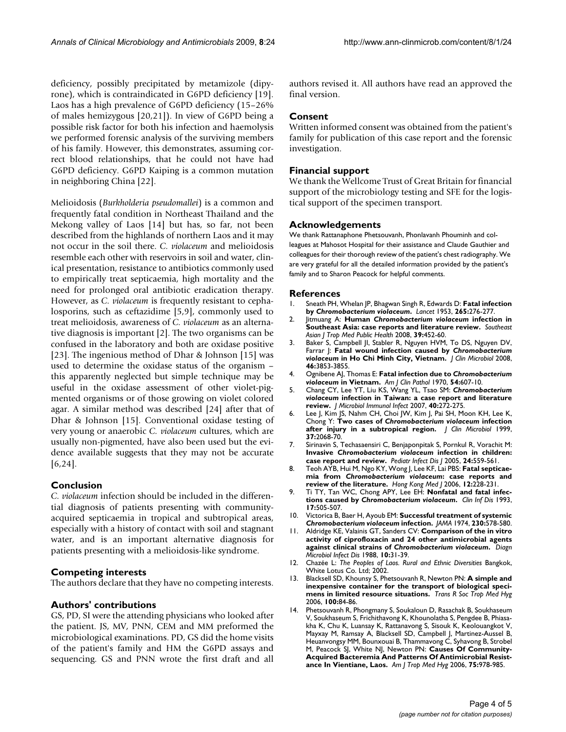deficiency, possibly precipitated by metamizole (dipyrone), which is contraindicated in G6PD deficiency [19]. Laos has a high prevalence of G6PD deficiency (15–26% of males hemizygous [20,21]). In view of G6PD being a possible risk factor for both his infection and haemolysis we performed forensic analysis of the surviving members of his family. However, this demonstrates, assuming correct blood relationships, that he could not have had G6PD deficiency. G6PD Kaiping is a common mutation in neighboring China [22].

Melioidosis (*Burkholderia pseudomallei*) is a common and frequently fatal condition in Northeast Thailand and the Mekong valley of Laos [14] but has, so far, not been described from the highlands of northern Laos and it may not occur in the soil there. *C. violaceum* and melioidosis resemble each other with reservoirs in soil and water, clinical presentation, resistance to antibiotics commonly used to empirically treat septicaemia, high mortality and the need for prolonged oral antibiotic eradication therapy. However, as *C. violaceum* is frequently resistant to cephalosporins, such as ceftazidime [[5,](#page-3-2)9], commonly used to treat melioidosis, awareness of *C. violaceum* as an alternative diagnosis is important [[2](#page-3-0)]. The two organisms can be confused in the laboratory and both are oxidase positive [23]. The ingenious method of Dhar & Johnson [15] was used to determine the oxidase status of the organism – this apparently neglected but simple technique may be useful in the oxidase assessment of other violet-pigmented organisms or of those growing on violet colored agar. A similar method was described [\[24\]](#page-4-0) after that of Dhar & Johnson [15]. Conventional oxidase testing of very young or anaerobic *C. violaceum* cultures, which are usually non-pigmented, have also been used but the evidence available suggests that they may not be accurate [6[,24](#page-4-0)].

#### **Conclusion**

*C. violaceum* infection should be included in the differential diagnosis of patients presenting with communityacquired septicaemia in tropical and subtropical areas, especially with a history of contact with soil and stagnant water, and is an important alternative diagnosis for patients presenting with a melioidosis-like syndrome.

#### **Competing interests**

The authors declare that they have no competing interests.

#### **Authors' contributions**

GS, PD, SI were the attending physicians who looked after the patient. JS, MV, PNN, CEM and MM preformed the microbiological examinations. PD, GS did the home visits of the patient's family and HM the G6PD assays and sequencing. GS and PNN wrote the first draft and all authors revised it. All authors have read an approved the final version.

#### **Consent**

Written informed consent was obtained from the patient's family for publication of this case report and the forensic investigation.

#### **Financial support**

We thank the Wellcome Trust of Great Britain for financial support of the microbiology testing and SFE for the logistical support of the specimen transport.

#### **Acknowledgements**

We thank Rattanaphone Phetsouvanh, Phonlavanh Phouminh and colleagues at Mahosot Hospital for their assistance and Claude Gauthier and colleagues for their thorough review of the patient's chest radiography. We are very grateful for all the detailed information provided by the patient's family and to Sharon Peacock for helpful comments.

#### **References**

- 1. Sneath PH, Whelan JP, Bhagwan Singh R, Edwards D: **Fatal infection by** *Chromobacterium violaceum***[.](http://www.ncbi.nlm.nih.gov/entrez/query.fcgi?cmd=Retrieve&db=PubMed&dopt=Abstract&list_uids=13085740)** *Lancet* 1953, **265:**276-277.
- <span id="page-3-0"></span>2. Jitmuang A: **Human** *Chromobacterium violaceum* **[infection in](http://www.ncbi.nlm.nih.gov/entrez/query.fcgi?cmd=Retrieve&db=PubMed&dopt=Abstract&list_uids=18564684) [Southeast Asia: case reports and literature review.](http://www.ncbi.nlm.nih.gov/entrez/query.fcgi?cmd=Retrieve&db=PubMed&dopt=Abstract&list_uids=18564684)** *Southeast Asian J Trop Med Public Health* 2008, **39:**452-60.
- 3. Baker S, Campbell JI, Stabler R, Nguyen HVM, To DS, Nguyen DV, Farrar J: **Fatal wound infection caused by** *Chromobacterium violaceum* **[in Ho Chi Minh City, Vietnam.](http://www.ncbi.nlm.nih.gov/entrez/query.fcgi?cmd=Retrieve&db=PubMed&dopt=Abstract&list_uids=18799697)** *J Clin Microbiol* 2008, **46:**3853-3855.
- <span id="page-3-1"></span>4. Ognibene AJ, Thomas E: **Fatal infection due to** *Chromobacterium violaceum* **[in Vietnam.](http://www.ncbi.nlm.nih.gov/entrez/query.fcgi?cmd=Retrieve&db=PubMed&dopt=Abstract&list_uids=5471231)** *Am J Clin Pathol* 1970, **54:**607-10.
- <span id="page-3-2"></span>5. Chang CY, Lee YT, Liu KS, Wang YL, Tsao SM: *Chromobacterium violaceum* **[infection in Taiwan: a case report and literature](http://www.ncbi.nlm.nih.gov/entrez/query.fcgi?cmd=Retrieve&db=PubMed&dopt=Abstract&list_uids=17639170) [review.](http://www.ncbi.nlm.nih.gov/entrez/query.fcgi?cmd=Retrieve&db=PubMed&dopt=Abstract&list_uids=17639170)** *J Microbiol Immunol Infect* 2007, **40:**272-275.
- 6. Lee J, Kim JS, Nahm CH, Choi JW, Kim J, Pai SH, Moon KH, Lee K, Chong Y: **Two cases of** *Chromobacterium violaceum* **[infection](http://www.ncbi.nlm.nih.gov/entrez/query.fcgi?cmd=Retrieve&db=PubMed&dopt=Abstract&list_uids=10325383) [after injury in a subtropical region.](http://www.ncbi.nlm.nih.gov/entrez/query.fcgi?cmd=Retrieve&db=PubMed&dopt=Abstract&list_uids=10325383)** *J Clin Microbiol* 1999, **37:**2068-70.
- 7. Sirinavin S, Techasaensiri C, Benjaponpitak S, Pornkul R, Vorachit M: **Invasive** *Chromobacterium violaceum* **[infection in children:](http://www.ncbi.nlm.nih.gov/entrez/query.fcgi?cmd=Retrieve&db=PubMed&dopt=Abstract&list_uids=15933571) [case report and review.](http://www.ncbi.nlm.nih.gov/entrez/query.fcgi?cmd=Retrieve&db=PubMed&dopt=Abstract&list_uids=15933571)** *Pediatr Infect Dis J* 2005, **24:**559-561.
- 8. Teoh AYB, Hui M, Ngo KY, Wong J, Lee KF, Lai PBS: **Fatal septicaemia from** *Chromobacterium violaceum***[: case reports and](http://www.ncbi.nlm.nih.gov/entrez/query.fcgi?cmd=Retrieve&db=PubMed&dopt=Abstract&list_uids=16760554) [review of the literature.](http://www.ncbi.nlm.nih.gov/entrez/query.fcgi?cmd=Retrieve&db=PubMed&dopt=Abstract&list_uids=16760554)** *Hong Kong Med J* 2006, **12:**228-231.
- 9. Ti TY, Tan WC, Chong APY, Lee EH: **Nonfatal and fatal infections caused by** *Chromobacterium violaceum***.** *Clin Inf Dis* 1993, **17:**505-507.
- 10. Victorica B, Baer H, Ayoub EM: **Successful treatment of systemic** *Chromobacterium violaceum* **[infection.](http://www.ncbi.nlm.nih.gov/entrez/query.fcgi?cmd=Retrieve&db=PubMed&dopt=Abstract&list_uids=4479291)** *JAMA* 1974, **230:**578-580.
- 11. Aldridge KE, Valainis GT, Sanders CV: **Comparison of the in vitro activity of ciprofloxacin and 24 other antimicrobial agents against clinical strains of** *Chromobacterium violaceum***[.](http://www.ncbi.nlm.nih.gov/entrez/query.fcgi?cmd=Retrieve&db=PubMed&dopt=Abstract&list_uids=3168426)** *Diagn Microbiol Infect Dis* 1988, **10:**31-39.
- 12. Chazée L: *The Peoples of Laos. Rural and Ethnic Diversities* Bangkok, White Lotus Co. Ltd; 2002.
- 13. Blacksell SD, Khounsy S, Phetsouvanh R, Newton PN: **A simple and inexpensive container for the transport of biological specimens in limited resource situations.** *Trans R Soc Trop Med Hyg* 2006, **100:**84-86.
- 14. Phetsouvanh R, Phongmany S, Soukaloun D, Rasachak B, Soukhaseum V, Soukhaseum S, Frichithavong K, Khounolatha S, Pengdee B, Phiasakha K, Chu K, Luansay K, Rattanavong S, Sisouk K, Keolouangkot V, Mayxay M, Ramsay A, Blacksell SD, Campbell J, Martinez-Aussel B, Heuanvongsy MM, Bounxouai B, Thammavong C, Syhavong B, Strobel M, Peacock SJ, White NJ, Newton PN: **[Causes Of Community-](http://www.ncbi.nlm.nih.gov/entrez/query.fcgi?cmd=Retrieve&db=PubMed&dopt=Abstract&list_uids=17124000)[Acquired Bacteremia And Patterns Of Antimicrobial Resist](http://www.ncbi.nlm.nih.gov/entrez/query.fcgi?cmd=Retrieve&db=PubMed&dopt=Abstract&list_uids=17124000)[ance In Vientiane, Laos.](http://www.ncbi.nlm.nih.gov/entrez/query.fcgi?cmd=Retrieve&db=PubMed&dopt=Abstract&list_uids=17124000)** *Am J Trop Med Hyg* 2006, **75:**978-985.